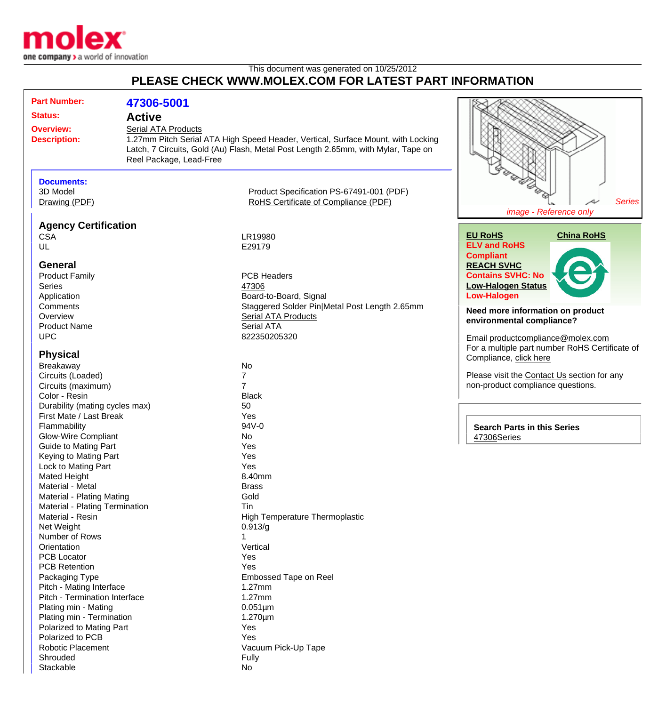

## This document was generated on 10/25/2012 **PLEASE CHECK WWW.MOLEX.COM FOR LATEST PART INFORMATION**

| <b>Part Number:</b>                                         | 47306-5001                                                                       |                                                                                   |                                                |
|-------------------------------------------------------------|----------------------------------------------------------------------------------|-----------------------------------------------------------------------------------|------------------------------------------------|
| <b>Status:</b>                                              | <b>Active</b>                                                                    |                                                                                   |                                                |
| <b>Overview:</b>                                            | Serial ATA Products                                                              |                                                                                   |                                                |
| <b>Description:</b>                                         | 1.27mm Pitch Serial ATA High Speed Header, Vertical, Surface Mount, with Locking |                                                                                   |                                                |
|                                                             |                                                                                  | Latch, 7 Circuits, Gold (Au) Flash, Metal Post Length 2.65mm, with Mylar, Tape on |                                                |
|                                                             | Reel Package, Lead-Free                                                          |                                                                                   |                                                |
|                                                             |                                                                                  |                                                                                   |                                                |
| <b>Documents:</b>                                           |                                                                                  |                                                                                   | <b>George Doc</b>                              |
| 3D Model                                                    |                                                                                  | Product Specification PS-67491-001 (PDF)                                          |                                                |
| Drawing (PDF)                                               |                                                                                  | RoHS Certificate of Compliance (PDF)                                              | <b>Series</b>                                  |
|                                                             |                                                                                  |                                                                                   | image - Reference only                         |
| <b>Agency Certification</b>                                 |                                                                                  |                                                                                   |                                                |
| <b>CSA</b>                                                  |                                                                                  | LR19980                                                                           | <b>China RoHS</b><br><b>EU RoHS</b>            |
| UL                                                          |                                                                                  | E29179                                                                            | <b>ELV and RoHS</b>                            |
|                                                             |                                                                                  |                                                                                   | <b>Compliant</b>                               |
| <b>General</b>                                              |                                                                                  |                                                                                   | <b>REACH SVHC</b>                              |
| <b>Product Family</b>                                       |                                                                                  | <b>PCB Headers</b>                                                                | <b>Contains SVHC: No</b>                       |
| <b>Series</b>                                               |                                                                                  | 47306                                                                             | <b>Low-Halogen Status</b>                      |
| Application                                                 |                                                                                  | Board-to-Board, Signal                                                            | <b>Low-Halogen</b>                             |
| Comments                                                    |                                                                                  | Staggered Solder Pin Metal Post Length 2.65mm                                     |                                                |
| Overview                                                    |                                                                                  | <b>Serial ATA Products</b>                                                        | Need more information on product               |
| <b>Product Name</b>                                         |                                                                                  | Serial ATA                                                                        | environmental compliance?                      |
| <b>UPC</b>                                                  |                                                                                  | 822350205320                                                                      | Email productcompliance@molex.com              |
|                                                             |                                                                                  |                                                                                   | For a multiple part number RoHS Certificate of |
| <b>Physical</b>                                             |                                                                                  |                                                                                   | Compliance, click here                         |
| Breakaway                                                   |                                                                                  | No                                                                                |                                                |
| Circuits (Loaded)                                           |                                                                                  | $\overline{7}$                                                                    | Please visit the Contact Us section for any    |
| Circuits (maximum)                                          |                                                                                  | 7                                                                                 | non-product compliance questions.              |
| Color - Resin                                               |                                                                                  | <b>Black</b>                                                                      |                                                |
| Durability (mating cycles max)                              |                                                                                  | 50                                                                                |                                                |
| First Mate / Last Break                                     |                                                                                  | Yes                                                                               |                                                |
| Flammability                                                |                                                                                  | 94V-0                                                                             | <b>Search Parts in this Series</b>             |
| <b>Glow-Wire Compliant</b>                                  |                                                                                  | No                                                                                | 47306Series                                    |
| <b>Guide to Mating Part</b>                                 |                                                                                  | Yes                                                                               |                                                |
| Keying to Mating Part                                       |                                                                                  | Yes                                                                               |                                                |
| Lock to Mating Part                                         |                                                                                  | Yes                                                                               |                                                |
| <b>Mated Height</b><br>Material - Metal                     |                                                                                  | 8.40mm                                                                            |                                                |
|                                                             |                                                                                  | <b>Brass</b><br>Gold                                                              |                                                |
| Material - Plating Mating<br>Material - Plating Termination |                                                                                  | Tin                                                                               |                                                |
| Material - Resin                                            |                                                                                  | High Temperature Thermoplastic                                                    |                                                |
| Net Weight                                                  |                                                                                  | 0.913/g                                                                           |                                                |
| Number of Rows                                              |                                                                                  |                                                                                   |                                                |
| Orientation                                                 |                                                                                  | Vertical                                                                          |                                                |
| <b>PCB Locator</b>                                          |                                                                                  | Yes                                                                               |                                                |
| <b>PCB Retention</b>                                        |                                                                                  | Yes                                                                               |                                                |
| Packaging Type                                              |                                                                                  | Embossed Tape on Reel                                                             |                                                |
| Pitch - Mating Interface                                    |                                                                                  | 1.27mm                                                                            |                                                |
| Pitch - Termination Interface                               |                                                                                  | $1.27$ mm                                                                         |                                                |
| Plating min - Mating                                        |                                                                                  | $0.051 \mu m$                                                                     |                                                |
| Plating min - Termination                                   |                                                                                  | $1.270 \mu m$                                                                     |                                                |
| Polarized to Mating Part                                    |                                                                                  | Yes                                                                               |                                                |
| Polarized to PCB                                            |                                                                                  | Yes                                                                               |                                                |
| <b>Robotic Placement</b>                                    |                                                                                  | Vacuum Pick-Up Tape                                                               |                                                |
| Shrouded                                                    |                                                                                  | Fully                                                                             |                                                |
| Stackable                                                   |                                                                                  | No                                                                                |                                                |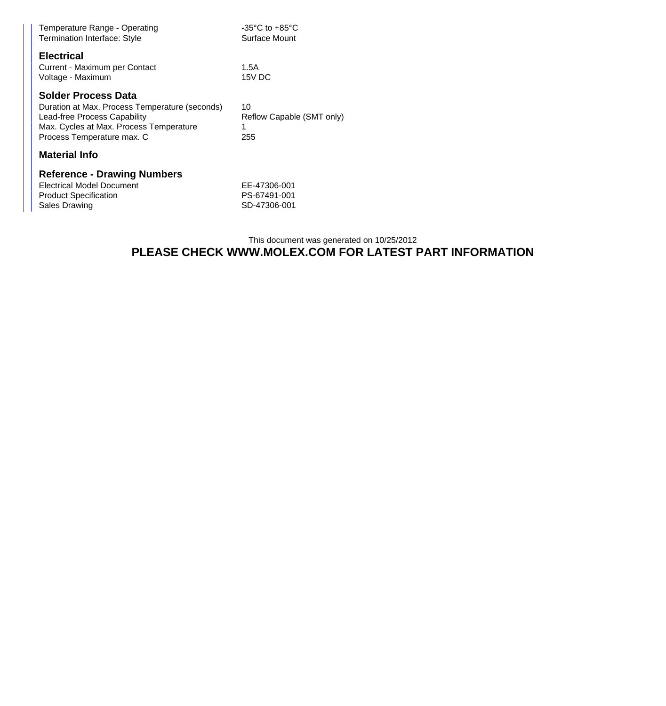| Temperature Range - Operating<br><b>Termination Interface: Style</b>                                                                                                                  | $-35^{\circ}$ C to $+85^{\circ}$ C<br>Surface Mount |  |  |  |
|---------------------------------------------------------------------------------------------------------------------------------------------------------------------------------------|-----------------------------------------------------|--|--|--|
| <b>Electrical</b><br>Current - Maximum per Contact<br>Voltage - Maximum                                                                                                               | 1.5A<br>15V DC                                      |  |  |  |
| <b>Solder Process Data</b><br>Duration at Max. Process Temperature (seconds)<br>Lead-free Process Capability<br>Max. Cycles at Max. Process Temperature<br>Process Temperature max. C | 10<br>Reflow Capable (SMT only)<br>1<br>255         |  |  |  |
| <b>Material Info</b>                                                                                                                                                                  |                                                     |  |  |  |
| <b>Reference - Drawing Numbers</b><br><b>Electrical Model Document</b>                                                                                                                | EE-47306-001                                        |  |  |  |

Product Specification **PS-67491-001** Sales Drawing SD-47306-001

## This document was generated on 10/25/2012 **PLEASE CHECK WWW.MOLEX.COM FOR LATEST PART INFORMATION**